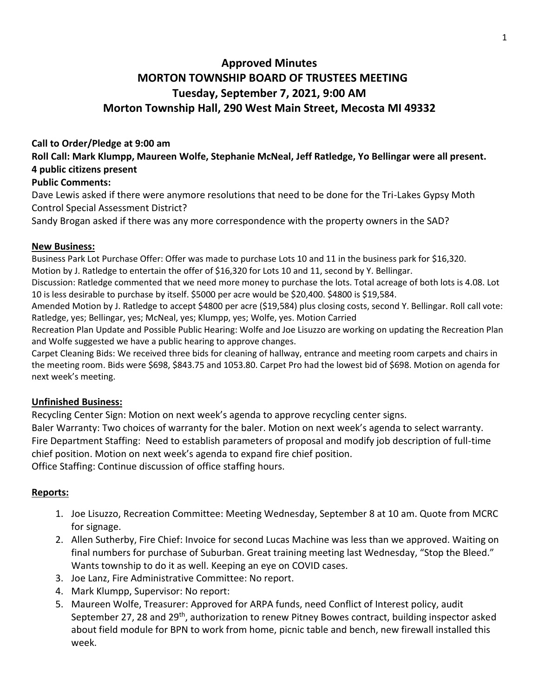# **Approved Minutes MORTON TOWNSHIP BOARD OF TRUSTEES MEETING Tuesday, September 7, 2021, 9:00 AM Morton Township Hall, 290 West Main Street, Mecosta MI 49332**

#### **Call to Order/Pledge at 9:00 am**

**Roll Call: Mark Klumpp, Maureen Wolfe, Stephanie McNeal, Jeff Ratledge, Yo Bellingar were all present. 4 public citizens present** 

#### **Public Comments:**

Dave Lewis asked if there were anymore resolutions that need to be done for the Tri-Lakes Gypsy Moth Control Special Assessment District?

Sandy Brogan asked if there was any more correspondence with the property owners in the SAD?

#### **New Business:**

Business Park Lot Purchase Offer: Offer was made to purchase Lots 10 and 11 in the business park for \$16,320. Motion by J. Ratledge to entertain the offer of \$16,320 for Lots 10 and 11, second by Y. Bellingar.

Discussion: Ratledge commented that we need more money to purchase the lots. Total acreage of both lots is 4.08. Lot 10 is less desirable to purchase by itself. \$5000 per acre would be \$20,400. \$4800 is \$19,584.

Amended Motion by J. Ratledge to accept \$4800 per acre (\$19,584) plus closing costs, second Y. Bellingar. Roll call vote: Ratledge, yes; Bellingar, yes; McNeal, yes; Klumpp, yes; Wolfe, yes. Motion Carried

Recreation Plan Update and Possible Public Hearing: Wolfe and Joe Lisuzzo are working on updating the Recreation Plan and Wolfe suggested we have a public hearing to approve changes.

Carpet Cleaning Bids: We received three bids for cleaning of hallway, entrance and meeting room carpets and chairs in the meeting room. Bids were \$698, \$843.75 and 1053.80. Carpet Pro had the lowest bid of \$698. Motion on agenda for next week's meeting.

## **Unfinished Business:**

Recycling Center Sign: Motion on next week's agenda to approve recycling center signs. Baler Warranty: Two choices of warranty for the baler. Motion on next week's agenda to select warranty. Fire Department Staffing: Need to establish parameters of proposal and modify job description of full-time chief position. Motion on next week's agenda to expand fire chief position. Office Staffing: Continue discussion of office staffing hours.

## **Reports:**

- 1. Joe Lisuzzo, Recreation Committee: Meeting Wednesday, September 8 at 10 am. Quote from MCRC for signage.
- 2. Allen Sutherby, Fire Chief: Invoice for second Lucas Machine was less than we approved. Waiting on final numbers for purchase of Suburban. Great training meeting last Wednesday, "Stop the Bleed." Wants township to do it as well. Keeping an eye on COVID cases.
- 3. Joe Lanz, Fire Administrative Committee: No report.
- 4. Mark Klumpp, Supervisor: No report:
- 5. Maureen Wolfe, Treasurer: Approved for ARPA funds, need Conflict of Interest policy, audit September 27, 28 and 29<sup>th</sup>, authorization to renew Pitney Bowes contract, building inspector asked about field module for BPN to work from home, picnic table and bench, new firewall installed this week.